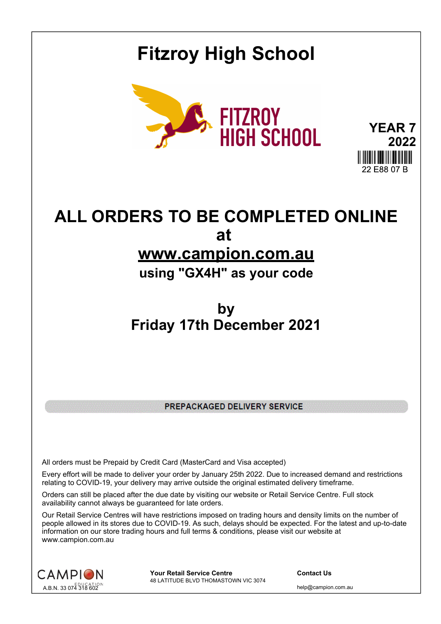## **Fitzroy High School**



**YEAR 7 2022** 22 E88 07 B

## **ALL ORDERS TO BE COMPLETED ONLINE at www.campion.com.au**

## **using "GX4H" as your code**

## **by Friday 17th December 2021**

PREPACKAGED DELIVERY SERVICE

All orders must be Prepaid by Credit Card (MasterCard and Visa accepted)

Every effort will be made to deliver your order by January 25th 2022. Due to increased demand and restrictions relating to COVID-19, your delivery may arrive outside the original estimated delivery timeframe.

Orders can still be placed after the due date by visiting our website or Retail Service Centre. Full stock availability cannot always be guaranteed for late orders.

Our Retail Service Centres will have restrictions imposed on trading hours and density limits on the number of people allowed in its stores due to COVID-19. As such, delays should be expected. For the latest and up-to-date information on our store trading hours and full terms & conditions, please visit our website at www.campion.com.au



**Your Retail Service Centre Contact Us** 48 LATITUDE BLVD THOMASTOWN VIC 3074

help@campion.com.au